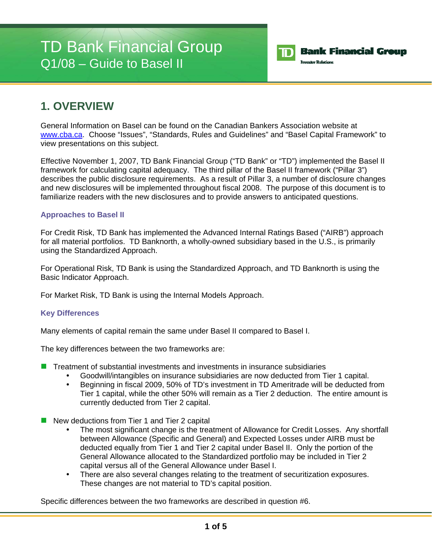# TD Bank Financial Group Q1/08 – Guide to Basel II



## **1. OVERVIEW**

General Information on Basel can be found on the Canadian Bankers Association website at www.cba.ca. Choose "Issues", "Standards, Rules and Guidelines" and "Basel Capital Framework" to view presentations on this subject.

Effective November 1, 2007, TD Bank Financial Group ("TD Bank" or "TD") implemented the Basel II framework for calculating capital adequacy. The third pillar of the Basel II framework ("Pillar 3") describes the public disclosure requirements. As a result of Pillar 3, a number of disclosure changes and new disclosures will be implemented throughout fiscal 2008. The purpose of this document is to familiarize readers with the new disclosures and to provide answers to anticipated questions.

### **Approaches to Basel II**

For Credit Risk, TD Bank has implemented the Advanced Internal Ratings Based ("AIRB") approach for all material portfolios. TD Banknorth, a wholly-owned subsidiary based in the U.S., is primarily using the Standardized Approach.

For Operational Risk, TD Bank is using the Standardized Approach, and TD Banknorth is using the Basic Indicator Approach.

For Market Risk, TD Bank is using the Internal Models Approach.

## **Key Differences**

Many elements of capital remain the same under Basel II compared to Basel I.

The key differences between the two frameworks are:

- **T** Treatment of substantial investments and investments in insurance subsidiaries
	- Goodwill/intangibles on insurance subsidiaries are now deducted from Tier 1 capital.
	- Beginning in fiscal 2009, 50% of TD's investment in TD Ameritrade will be deducted from Tier 1 capital, while the other 50% will remain as a Tier 2 deduction. The entire amount is currently deducted from Tier 2 capital.
- New deductions from Tier 1 and Tier 2 capital
	- The most significant change is the treatment of Allowance for Credit Losses. Any shortfall between Allowance (Specific and General) and Expected Losses under AIRB must be deducted equally from Tier 1 and Tier 2 capital under Basel II. Only the portion of the General Allowance allocated to the Standardized portfolio may be included in Tier 2 capital versus all of the General Allowance under Basel I.
	- There are also several changes relating to the treatment of securitization exposures. These changes are not material to TD's capital position.

Specific differences between the two frameworks are described in question #6.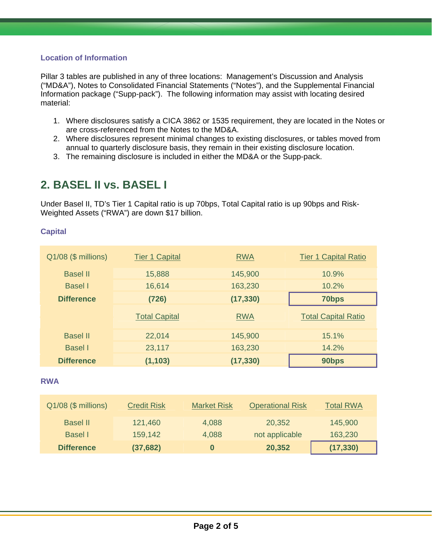## **Location of Information**

Pillar 3 tables are published in any of three locations: Management's Discussion and Analysis ("MD&A"), Notes to Consolidated Financial Statements ("Notes"), and the Supplemental Financial Information package ("Supp-pack"). The following information may assist with locating desired material:

- 1. Where disclosures satisfy a CICA 3862 or 1535 requirement, they are located in the Notes or are cross-referenced from the Notes to the MD&A.
- 2. Where disclosures represent minimal changes to existing disclosures, or tables moved from annual to quarterly disclosure basis, they remain in their existing disclosure location.
- 3. The remaining disclosure is included in either the MD&A or the Supp-pack.

# **2. BASEL II vs. BASEL I**

Under Basel II, TD's Tier 1 Capital ratio is up 70bps, Total Capital ratio is up 90bps and Risk-Weighted Assets ("RWA") are down \$17 billion.

### **Capital**

| Q1/08 (\$ millions) | <b>Tier 1 Capital</b> | <b>RWA</b> | <b>Tier 1 Capital Ratio</b> |
|---------------------|-----------------------|------------|-----------------------------|
| <b>Basel II</b>     | 15,888                | 145,900    | 10.9%                       |
| <b>Basel</b> I      | 16,614                | 163,230    | 10.2%                       |
| <b>Difference</b>   | (726)                 | (17, 330)  | 70 <sub>bps</sub>           |
|                     | <b>Total Capital</b>  | <b>RWA</b> | <b>Total Capital Ratio</b>  |
| <b>Basel II</b>     | 22,014                | 145,900    | 15.1%                       |
| <b>Basel</b> I      | 23,117                | 163,230    | 14.2%                       |
| <b>Difference</b>   | (1, 103)              | (17, 330)  | 90bps                       |

#### **RWA**

| Q1/08 (\$ millions) | <b>Credit Risk</b> | <b>Market Risk</b> | <b>Operational Risk</b> | <b>Total RWA</b> |
|---------------------|--------------------|--------------------|-------------------------|------------------|
| <b>Basel II</b>     | 121,460            | 4,088              | 20,352                  | 145,900          |
| Basel I             | 159,142            | 4,088              | not applicable          | 163,230          |
| <b>Difference</b>   | (37, 682)          | 0                  | 20,352                  | (17, 330)        |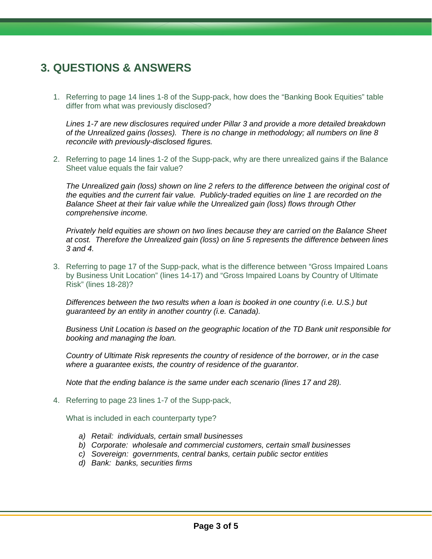# **3. QUESTIONS & ANSWERS**

1. Referring to page 14 lines 1-8 of the Supp-pack, how does the "Banking Book Equities" table differ from what was previously disclosed?

*Lines 1-7 are new disclosures required under Pillar 3 and provide a more detailed breakdown of the Unrealized gains (losses). There is no change in methodology; all numbers on line 8 reconcile with previously-disclosed figures.* 

2. Referring to page 14 lines 1-2 of the Supp-pack, why are there unrealized gains if the Balance Sheet value equals the fair value?

*The Unrealized gain (loss) shown on line 2 refers to the difference between the original cost of the equities and the current fair value. Publicly-traded equities on line 1 are recorded on the Balance Sheet at their fair value while the Unrealized gain (loss) flows through Other comprehensive income.* 

*Privately held equities are shown on two lines because they are carried on the Balance Sheet at cost. Therefore the Unrealized gain (loss) on line 5 represents the difference between lines 3 and 4.* 

3. Referring to page 17 of the Supp-pack, what is the difference between "Gross Impaired Loans by Business Unit Location" (lines 14-17) and "Gross Impaired Loans by Country of Ultimate Risk" (lines 18-28)?

*Differences between the two results when a loan is booked in one country (i.e. U.S.) but guaranteed by an entity in another country (i.e. Canada).* 

*Business Unit Location is based on the geographic location of the TD Bank unit responsible for booking and managing the loan.* 

*Country of Ultimate Risk represents the country of residence of the borrower, or in the case where a guarantee exists, the country of residence of the guarantor.* 

*Note that the ending balance is the same under each scenario (lines 17 and 28).* 

4. Referring to page 23 lines 1-7 of the Supp-pack,

What is included in each counterparty type?

- *a) Retail: individuals, certain small businesses*
- *b) Corporate: wholesale and commercial customers, certain small businesses*
- *c) Sovereign: governments, central banks, certain public sector entities*
- *d) Bank: banks, securities firms*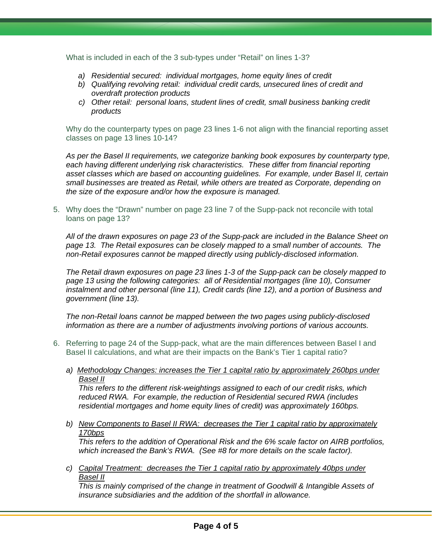What is included in each of the 3 sub-types under "Retail" on lines 1-3?

- *a) Residential secured: individual mortgages, home equity lines of credit*
- *b) Qualifying revolving retail: individual credit cards, unsecured lines of credit and overdraft protection products*
- *c) Other retail: personal loans, student lines of credit, small business banking credit products*

Why do the counterparty types on page 23 lines 1-6 not align with the financial reporting asset classes on page 13 lines 10-14?

*As per the Basel II requirements, we categorize banking book exposures by counterparty type,*  each having different underlying risk characteristics. These differ from financial reporting *asset classes which are based on accounting guidelines. For example, under Basel II, certain small businesses are treated as Retail, while others are treated as Corporate, depending on the size of the exposure and/or how the exposure is managed.* 

5. Why does the "Drawn" number on page 23 line 7 of the Supp-pack not reconcile with total loans on page 13?

*All of the drawn exposures on page 23 of the Supp-pack are included in the Balance Sheet on page 13. The Retail exposures can be closely mapped to a small number of accounts. The non-Retail exposures cannot be mapped directly using publicly-disclosed information.* 

*The Retail drawn exposures on page 23 lines 1-3 of the Supp-pack can be closely mapped to page 13 using the following categories: all of Residential mortgages (line 10), Consumer instalment and other personal (line 11), Credit cards (line 12), and a portion of Business and government (line 13).* 

*The non-Retail loans cannot be mapped between the two pages using publicly-disclosed information as there are a number of adjustments involving portions of various accounts.* 

- 6. Referring to page 24 of the Supp-pack, what are the main differences between Basel I and Basel II calculations, and what are their impacts on the Bank's Tier 1 capital ratio?
	- *a) Methodology Changes: increases the Tier 1 capital ratio by approximately 260bps under Basel II*

*This refers to the different risk-weightings assigned to each of our credit risks, which reduced RWA. For example, the reduction of Residential secured RWA (includes residential mortgages and home equity lines of credit) was approximately 160bps.* 

*b) New Components to Basel II RWA: decreases the Tier 1 capital ratio by approximately 170bps*

*This refers to the addition of Operational Risk and the 6% scale factor on AIRB portfolios, which increased the Bank's RWA. (See #8 for more details on the scale factor).* 

*c) Capital Treatment: decreases the Tier 1 capital ratio by approximately 40bps under Basel II*

*This is mainly comprised of the change in treatment of Goodwill & Intangible Assets of insurance subsidiaries and the addition of the shortfall in allowance.*